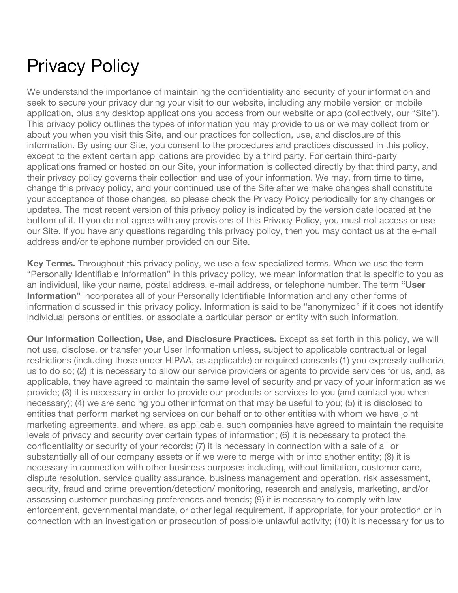## Privacy Policy

We understand the importance of maintaining the confidentiality and security of your information and seek to secure your privacy during your visit to our website, including any mobile version or mobile application, plus any desktop applications you access from our website or app (collectively, our "Site"). This privacy policy outlines the types of information you may provide to us or we may collect from or about you when you visit this Site, and our practices for collection, use, and disclosure of this information. By using our Site, you consent to the procedures and practices discussed in this policy, except to the extent certain applications are provided by a third party. For certain third-party applications framed or hosted on our Site, your information is collected directly by that third party, and their privacy policy governs their collection and use of your information. We may, from time to time, change this privacy policy, and your continued use of the Site after we make changes shall constitute your acceptance of those changes, so please check the Privacy Policy periodically for any changes or updates. The most recent version of this privacy policy is indicated by the version date located at the bottom of it. If you do not agree with any provisions of this Privacy Policy, you must not access or use our Site. If you have any questions regarding this privacy policy, then you may contact us at the e-mail address and/or telephone number provided on our Site.

**Key Terms.** Throughout this privacy policy, we use a few specialized terms. When we use the term "Personally Identifiable Information" in this privacy policy, we mean information that is specific to you as an individual, like your name, postal address, e-mail address, or telephone number. The term **"User Information"** incorporates all of your Personally Identifiable Information and any other forms of information discussed in this privacy policy. Information is said to be "anonymized" if it does not identify individual persons or entities, or associate a particular person or entity with such information.

**Our Information Collection, Use, and Disclosure Practices.** Except as set forth in this policy, we will not use, disclose, or transfer your User Information unless, subject to applicable contractual or legal restrictions (including those under HIPAA, as applicable) or required consents (1) you expressly authorize us to do so; (2) it is necessary to allow our service providers or agents to provide services for us, and, as applicable, they have agreed to maintain the same level of security and privacy of your information as we provide; (3) it is necessary in order to provide our products or services to you (and contact you when necessary); (4) we are sending you other information that may be useful to you; (5) it is disclosed to entities that perform marketing services on our behalf or to other entities with whom we have joint marketing agreements, and where, as applicable, such companies have agreed to maintain the requisite levels of privacy and security over certain types of information; (6) it is necessary to protect the confidentiality or security of your records; (7) it is necessary in connection with a sale of all or substantially all of our company assets or if we were to merge with or into another entity; (8) it is necessary in connection with other business purposes including, without limitation, customer care, dispute resolution, service quality assurance, business management and operation, risk assessment, security, fraud and crime prevention/detection/ monitoring, research and analysis, marketing, and/or assessing customer purchasing preferences and trends; (9) it is necessary to comply with law enforcement, governmental mandate, or other legal requirement, if appropriate, for your protection or in connection with an investigation or prosecution of possible unlawful activity; (10) it is necessary for us to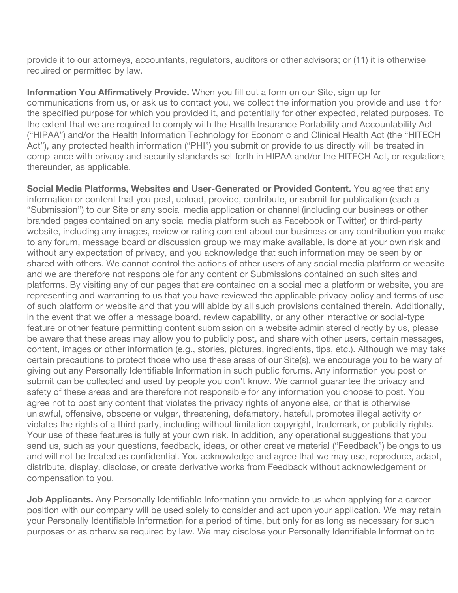provide it to our attorneys, accountants, regulators, auditors or other advisors; or (11) it is otherwise required or permitted by law.

**Information You Affirmatively Provide.** When you fill out a form on our Site, sign up for communications from us, or ask us to contact you, we collect the information you provide and use it for the specified purpose for which you provided it, and potentially for other expected, related purposes. To the extent that we are required to comply with the Health Insurance Portability and Accountability Act ("HIPAA") and/or the Health Information Technology for Economic and Clinical Health Act (the "HITECH Act"), any protected health information ("PHI") you submit or provide to us directly will be treated in compliance with privacy and security standards set forth in HIPAA and/or the HITECH Act, or regulations thereunder, as applicable.

**Social Media Platforms, Websites and User-Generated or Provided Content.** You agree that any information or content that you post, upload, provide, contribute, or submit for publication (each a "Submission") to our Site or any social media application or channel (including our business or other branded pages contained on any social media platform such as Facebook or Twitter) or third-party website, including any images, review or rating content about our business or any contribution you make to any forum, message board or discussion group we may make available, is done at your own risk and without any expectation of privacy, and you acknowledge that such information may be seen by or shared with others. We cannot control the actions of other users of any social media platform or website and we are therefore not responsible for any content or Submissions contained on such sites and platforms. By visiting any of our pages that are contained on a social media platform or website, you are representing and warranting to us that you have reviewed the applicable privacy policy and terms of use of such platform or website and that you will abide by all such provisions contained therein. Additionally, in the event that we offer a message board, review capability, or any other interactive or social-type feature or other feature permitting content submission on a website administered directly by us, please be aware that these areas may allow you to publicly post, and share with other users, certain messages, content, images or other information (e.g., stories, pictures, ingredients, tips, etc.). Although we may take certain precautions to protect those who use these areas of our Site(s), we encourage you to be wary of giving out any Personally Identifiable Information in such public forums. Any information you post or submit can be collected and used by people you don't know. We cannot guarantee the privacy and safety of these areas and are therefore not responsible for any information you choose to post. You agree not to post any content that violates the privacy rights of anyone else, or that is otherwise unlawful, offensive, obscene or vulgar, threatening, defamatory, hateful, promotes illegal activity or violates the rights of a third party, including without limitation copyright, trademark, or publicity rights. Your use of these features is fully at your own risk. In addition, any operational suggestions that you send us, such as your questions, feedback, ideas, or other creative material ("Feedback") belongs to us and will not be treated as confidential. You acknowledge and agree that we may use, reproduce, adapt, distribute, display, disclose, or create derivative works from Feedback without acknowledgement or compensation to you.

**Job Applicants.** Any Personally Identifiable Information you provide to us when applying for a career position with our company will be used solely to consider and act upon your application. We may retain your Personally Identifiable Information for a period of time, but only for as long as necessary for such purposes or as otherwise required by law. We may disclose your Personally Identifiable Information to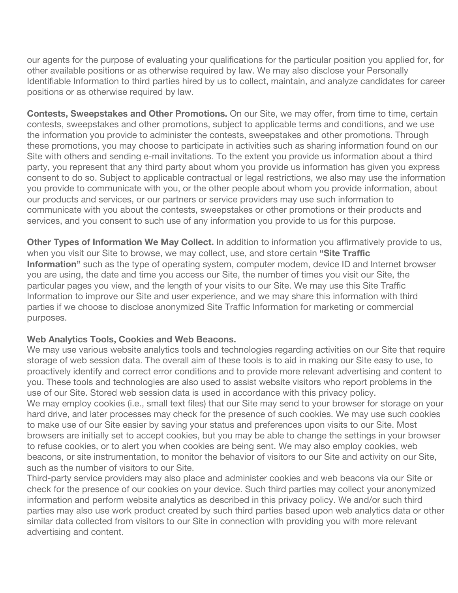our agents for the purpose of evaluating your qualifications for the particular position you applied for, for other available positions or as otherwise required by law. We may also disclose your Personally Identifiable Information to third parties hired by us to collect, maintain, and analyze candidates for career positions or as otherwise required by law.

**Contests, Sweepstakes and Other Promotions.** On our Site, we may offer, from time to time, certain contests, sweepstakes and other promotions, subject to applicable terms and conditions, and we use the information you provide to administer the contests, sweepstakes and other promotions. Through these promotions, you may choose to participate in activities such as sharing information found on our Site with others and sending e-mail invitations. To the extent you provide us information about a third party, you represent that any third party about whom you provide us information has given you express consent to do so. Subject to applicable contractual or legal restrictions, we also may use the information you provide to communicate with you, or the other people about whom you provide information, about our products and services, or our partners or service providers may use such information to communicate with you about the contests, sweepstakes or other promotions or their products and services, and you consent to such use of any information you provide to us for this purpose.

**Other Types of Information We May Collect.** In addition to information you affirmatively provide to us, when you visit our Site to browse, we may collect, use, and store certain **"Site Traffic Information"** such as the type of operating system, computer modem, device ID and Internet browser you are using, the date and time you access our Site, the number of times you visit our Site, the particular pages you view, and the length of your visits to our Site. We may use this Site Traffic Information to improve our Site and user experience, and we may share this information with third parties if we choose to disclose anonymized Site Traffic Information for marketing or commercial purposes.

## **Web Analytics Tools, Cookies and Web Beacons.**

We may use various website analytics tools and technologies regarding activities on our Site that require storage of web session data. The overall aim of these tools is to aid in making our Site easy to use, to proactively identify and correct error conditions and to provide more relevant advertising and content to you. These tools and technologies are also used to assist website visitors who report problems in the use of our Site. Stored web session data is used in accordance with this privacy policy. We may employ cookies (i.e., small text files) that our Site may send to your browser for storage on your hard drive, and later processes may check for the presence of such cookies. We may use such cookies to make use of our Site easier by saving your status and preferences upon visits to our Site. Most browsers are initially set to accept cookies, but you may be able to change the settings in your browser to refuse cookies, or to alert you when cookies are being sent. We may also employ cookies, web beacons, or site instrumentation, to monitor the behavior of visitors to our Site and activity on our Site, such as the number of visitors to our Site.

Third-party service providers may also place and administer cookies and web beacons via our Site or check for the presence of our cookies on your device. Such third parties may collect your anonymized information and perform website analytics as described in this privacy policy. We and/or such third parties may also use work product created by such third parties based upon web analytics data or other similar data collected from visitors to our Site in connection with providing you with more relevant advertising and content.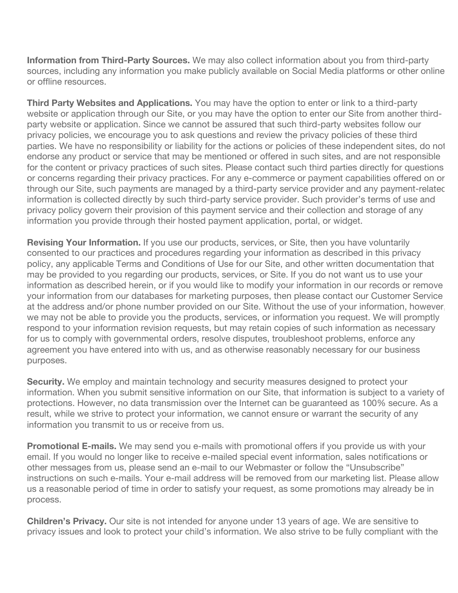**Information from Third-Party Sources.** We may also collect information about you from third-party sources, including any information you make publicly available on Social Media platforms or other online or offline resources.

**Third Party Websites and Applications.** You may have the option to enter or link to a third-party website or application through our Site, or you may have the option to enter our Site from another thirdparty website or application. Since we cannot be assured that such third-party websites follow our privacy policies, we encourage you to ask questions and review the privacy policies of these third parties. We have no responsibility or liability for the actions or policies of these independent sites, do not endorse any product or service that may be mentioned or offered in such sites, and are not responsible for the content or privacy practices of such sites. Please contact such third parties directly for questions or concerns regarding their privacy practices. For any e-commerce or payment capabilities offered on or through our Site, such payments are managed by a third-party service provider and any payment-related information is collected directly by such third-party service provider. Such provider's terms of use and privacy policy govern their provision of this payment service and their collection and storage of any information you provide through their hosted payment application, portal, or widget.

**Revising Your Information.** If you use our products, services, or Site, then you have voluntarily consented to our practices and procedures regarding your information as described in this privacy policy, any applicable Terms and Conditions of Use for our Site, and other written documentation that may be provided to you regarding our products, services, or Site. If you do not want us to use your information as described herein, or if you would like to modify your information in our records or remove your information from our databases for marketing purposes, then please contact our Customer Service at the address and/or phone number provided on our Site. Without the use of your information, however, we may not be able to provide you the products, services, or information you request. We will promptly respond to your information revision requests, but may retain copies of such information as necessary for us to comply with governmental orders, resolve disputes, troubleshoot problems, enforce any agreement you have entered into with us, and as otherwise reasonably necessary for our business purposes.

**Security.** We employ and maintain technology and security measures designed to protect your information. When you submit sensitive information on our Site, that information is subject to a variety of protections. However, no data transmission over the Internet can be guaranteed as 100% secure. As a result, while we strive to protect your information, we cannot ensure or warrant the security of any information you transmit to us or receive from us.

**Promotional E-mails.** We may send you e-mails with promotional offers if you provide us with your email. If you would no longer like to receive e-mailed special event information, sales notifications or other messages from us, please send an e-mail to our Webmaster or follow the "Unsubscribe" instructions on such e-mails. Your e-mail address will be removed from our marketing list. Please allow us a reasonable period of time in order to satisfy your request, as some promotions may already be in process.

**Children's Privacy.** Our site is not intended for anyone under 13 years of age. We are sensitive to privacy issues and look to protect your child's information. We also strive to be fully compliant with the